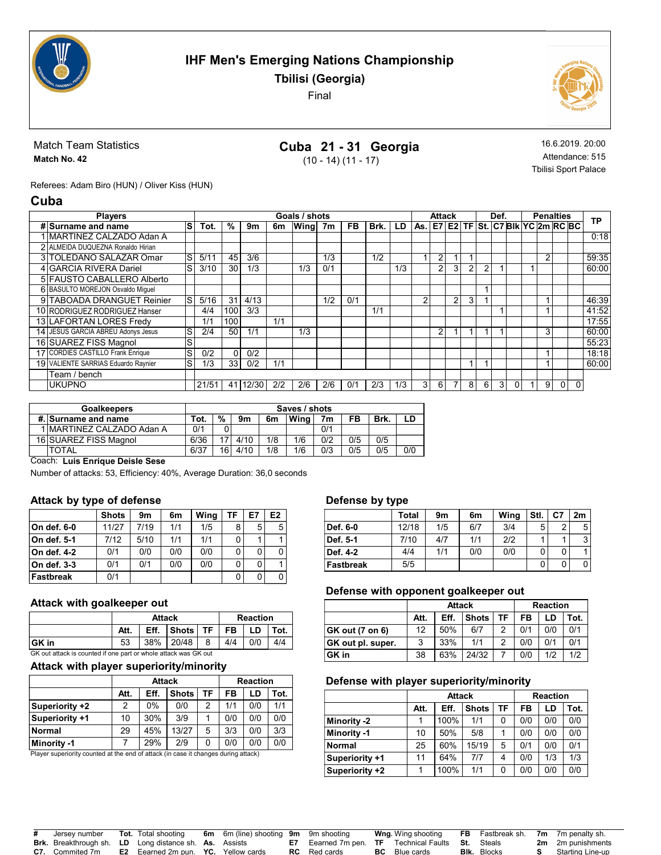

Tbilisi (Georgia)

Final



### Match Team Statistics Match No. 42

# Cuba 21 - 31 Georgia (10 - 14) (11 - 17)

16.6.2019. 20:00 Attendance: 515 Tbilisi Sport Palace

Referees: Adam Biro (HUN) / Oliver Kiss (HUN)

### Cuba

| <b>Players</b>                      |   |       |                 |       |     | Goals / shots |     |     |      |     |            | Attack         |   |   |   | Def. |   | <b>Penalties</b> |   |                                     |          | <b>TP</b> |
|-------------------------------------|---|-------|-----------------|-------|-----|---------------|-----|-----|------|-----|------------|----------------|---|---|---|------|---|------------------|---|-------------------------------------|----------|-----------|
| # Surname and name                  | S | Tot.  | %               | 9m    | 6m  | Wing          | 7m  | FB. | Brk. | LD. |            |                |   |   |   |      |   |                  |   | As. E7 E2 TF St. C7 BIk YC 2m RC BC |          |           |
| <b>IMARTINEZ CALZADO Adan A</b>     |   |       |                 |       |     |               |     |     |      |     |            |                |   |   |   |      |   |                  |   |                                     |          | 0:18      |
| 2 ALMEIDA DUQUEZNA Ronaldo Hirian   |   |       |                 |       |     |               |     |     |      |     |            |                |   |   |   |      |   |                  |   |                                     |          |           |
| 3 TOLEDANO SALAZAR Omar             | S | 5/11  | 45              | 3/6   |     |               | 1/3 |     | 1/2  |     |            | $\overline{2}$ |   |   |   |      |   |                  | 2 |                                     |          | 59:35     |
| 4 GARCIA RIVERA Dariel              | S | 3/10  | 30              | 1/3   |     | 1/3           | 0/1 |     |      | 1/3 |            | $\overline{2}$ | 3 | 2 | ◠ |      |   |                  |   |                                     |          | 60:00     |
| 5 FAUSTO CABALLERO Alberto          |   |       |                 |       |     |               |     |     |      |     |            |                |   |   |   |      |   |                  |   |                                     |          |           |
| 6 BASULTO MOREJON Osvaldo Miquel    |   |       |                 |       |     |               |     |     |      |     |            |                |   |   |   |      |   |                  |   |                                     |          |           |
| 9 TABOADA DRANGUET Reinier          | S | 5/16  | 31              | 4/13  |     |               | 1/2 | 0/1 |      |     | $\sqrt{2}$ |                | 2 | 3 |   |      |   |                  |   |                                     |          | 46:39     |
| 10 RODRIGUEZ RODRIGUEZ Hanser       |   | 4/4   | 100             | 3/3   |     |               |     |     | 1/1  |     |            |                |   |   |   |      |   |                  |   |                                     |          | 41:52     |
| 13 LAFORTAN LORES Fredv             |   | 1/1   | 100             |       | 1/1 |               |     |     |      |     |            |                |   |   |   |      |   |                  |   |                                     |          | 17:55     |
| 14 JESUS GARCIA ABREU Adonys Jesus  | S | 2/4   | 50              | 1/1   |     | 1/3           |     |     |      |     |            | 2              |   |   |   |      |   |                  | 3 |                                     |          | 60:00     |
| 16 SUAREZ FISS Magnol               | S |       |                 |       |     |               |     |     |      |     |            |                |   |   |   |      |   |                  |   |                                     |          | 55:23     |
| 17 CORDIES CASTILLO Frank Enrique   | S | 0/2   | $\Omega$        | 0/2   |     |               |     |     |      |     |            |                |   |   |   |      |   |                  |   |                                     |          | 18:18     |
| 19 VALIENTE SARRIAS Eduardo Ravnier | S | 1/3   | 33 <sup>1</sup> | 0/2   | 1/1 |               |     |     |      |     |            |                |   |   |   |      |   |                  |   |                                     |          | 60:00     |
| Team / bench                        |   |       |                 |       |     |               |     |     |      |     |            |                |   |   |   |      |   |                  |   |                                     |          |           |
| <b>UKUPNO</b>                       |   | 21/51 | 41              | 12/30 | 2/2 | 2/6           | 2/6 | 0/1 | 2/3  | 1/3 | 3          | 6              |   | 8 | 6 | 3    | 0 |                  | 9 | 0                                   | $\Omega$ |           |

| <b>Goalkeepers</b>        | Saves / shots |               |      |     |      |     |     |      |     |  |  |
|---------------------------|---------------|---------------|------|-----|------|-----|-----|------|-----|--|--|
| #. Surname and name       | Tot.          | $\frac{9}{6}$ | 9m   | 6m  | Wina | 7m  | FB  | Brk. | LD  |  |  |
| 1 MARTINEZ CALZADO Adan A | 0/1           |               |      |     |      | 0/1 |     |      |     |  |  |
| 16 SUAREZ FISS Magnol     | 6/36          |               | 4/10 | 1/8 | 1/6  | 0/2 | 0/5 | 0/5  |     |  |  |
| <b>TOTAL</b>              | 6/37          |               | 4/10 | 1/8 | 1/6  | 0/3 | 0/5 | 0/5  | 0/0 |  |  |
|                           | .             |               |      | 16  |      |     |     |      |     |  |  |

Coach: Luis Enrique Deisle Sese

Number of attacks: 53, Efficiency: 40%, Average Duration: 36,0 seconds

### Attack by type of defense

|             | <b>Shots</b> | 9m   | 6m  | Wing | ΤF | E7 | E <sub>2</sub> |
|-------------|--------------|------|-----|------|----|----|----------------|
| On def. 6-0 | 11/27        | 7/19 | 1/1 | 1/5  | 8  | 5  | 5              |
| On def. 5-1 | 7/12         | 5/10 | 1/1 | 1/1  | 0  |    |                |
| On def. 4-2 | 0/1          | 0/0  | 0/0 | 0/0  | 0  | 0  | 0              |
| On def. 3-3 | 0/1          | 0/1  | 0/0 | 0/0  | 0  | 0  |                |
| Fastbreak   | 0/1          |      |     |      | 0  | 0  | 0              |

### Attack with goalkeeper out

|                                                                 |      | <b>Attack</b>                |              | <b>Reaction</b> |    |     |      |  |  |  |
|-----------------------------------------------------------------|------|------------------------------|--------------|-----------------|----|-----|------|--|--|--|
|                                                                 | Att. | Eff.                         | <b>Shots</b> | . TF            | FB | LD. | Tot. |  |  |  |
| ∣GK in                                                          | 53   | 38% 20/48<br>4/4<br>0/0<br>8 |              |                 |    |     |      |  |  |  |
| GK out attack is counted if one part or whole attack was GK out |      |                              |              |                 |    |     |      |  |  |  |

### Attack with player superiority/minority

|                |      | <b>Attack</b> |              | <b>Reaction</b> |     |     |      |  |  |
|----------------|------|---------------|--------------|-----------------|-----|-----|------|--|--|
|                | Att. | Eff.          | <b>Shots</b> | TF              | FB  | LD  | Tot. |  |  |
| Superiority +2 | 2    | $0\%$         | 0/0          | 2               | 1/1 | 0/0 | 1/1  |  |  |
| Superiority +1 | 10   | 30%           | 3/9          |                 | 0/0 | 0/0 | 0/0  |  |  |
| Normal         | 29   | 45%           | 13/27        | 5               | 3/3 | 0/0 | 3/3  |  |  |
| Minority -1    |      | 29%           | 2/9          | 0               | 0/0 | 0/0 | 0/0  |  |  |

Player superiority counted at the end of attack (in case it changes during attack)

#### Defense by type

|                  | Total | 9m  | 6m  | Wing | Stl. | C7 | 2m |
|------------------|-------|-----|-----|------|------|----|----|
| Def. 6-0         | 12/18 | 1/5 | 6/7 | 3/4  | 5    | ◠  | 5  |
| Def. 5-1         | 7/10  | 4/7 | 1/1 | 2/2  |      |    | 3  |
| Def. 4-2         | 4/4   | 1/1 | 0/0 | 0/0  |      |    |    |
| <b>Fastbreak</b> | 5/5   |     |     |      |      |    |    |

#### Defense with opponent goalkeeper out

|                   |      | <b>Attack</b> |       | <b>Reaction</b> |      |     |     |  |  |
|-------------------|------|---------------|-------|-----------------|------|-----|-----|--|--|
|                   | Att. | Eff.          | FB    | LD              | Tot. |     |     |  |  |
| GK out (7 on 6)   | 12   | 50%           | 6/7   | ົ               | 0/1  | 0/0 | 0/1 |  |  |
| GK out pl. super. | 3    | 33%           | 1/1   |                 | 0/0  | 0/1 | 0/1 |  |  |
| GK in             | 38   | 63%           | 24/32 |                 | 0/0  | 1/2 | 1/2 |  |  |

#### Defense with player superiority/minority

|                |      | <b>Attack</b> |              | <b>Reaction</b> |     |     |      |  |  |
|----------------|------|---------------|--------------|-----------------|-----|-----|------|--|--|
|                | Att. | Eff.          | <b>Shots</b> | TF              | FB  | LD  | Tot. |  |  |
| Minority -2    |      | 100%          | 1/1          | 0               | 0/0 | 0/0 | 0/0  |  |  |
| Minority -1    | 10   | 50%           | 5/8          |                 | 0/0 | 0/0 | 0/0  |  |  |
| <b>Normal</b>  | 25   | 60%           | 15/19        | 5               | 0/1 | 0/0 | 0/1  |  |  |
| Superiority +1 | 11   | 64%           | 7/7          | 4               | 0/0 | 1/3 | 1/3  |  |  |
| Superiority +2 |      | 100%          | 1/1          | 0               | 0/0 | 0/0 | 0/0  |  |  |

| Jersev number                                                 | <b>Tot.</b> Total shooting                        | <b>6m</b> 6m (line) shooting <b>9m</b> 9m shooting |                                                                        |    | <b>Wng</b> Wing shooting |                    | <b>FB</b> Fastbreak sh. <b>7m</b> 7m penalty sh. |
|---------------------------------------------------------------|---------------------------------------------------|----------------------------------------------------|------------------------------------------------------------------------|----|--------------------------|--------------------|--------------------------------------------------|
| <b>Brk.</b> Breakthrough sh. LD Long distance sh. As. Assists |                                                   |                                                    | <b>E7</b> Eearned 7m pen. <b>TF</b> Technical Faults <b>St.</b> Steals |    |                          |                    | <b>2m</b> 2m punishments                         |
| <b>C7.</b> Commited 7m                                        | <b>E2</b> Eearned 2m pun. <b>YC.</b> Yellow cards |                                                    | <b>RC</b> Red cards                                                    | вc | Blue cards               | <b>BIK.</b> Blocks | Starting Line-up                                 |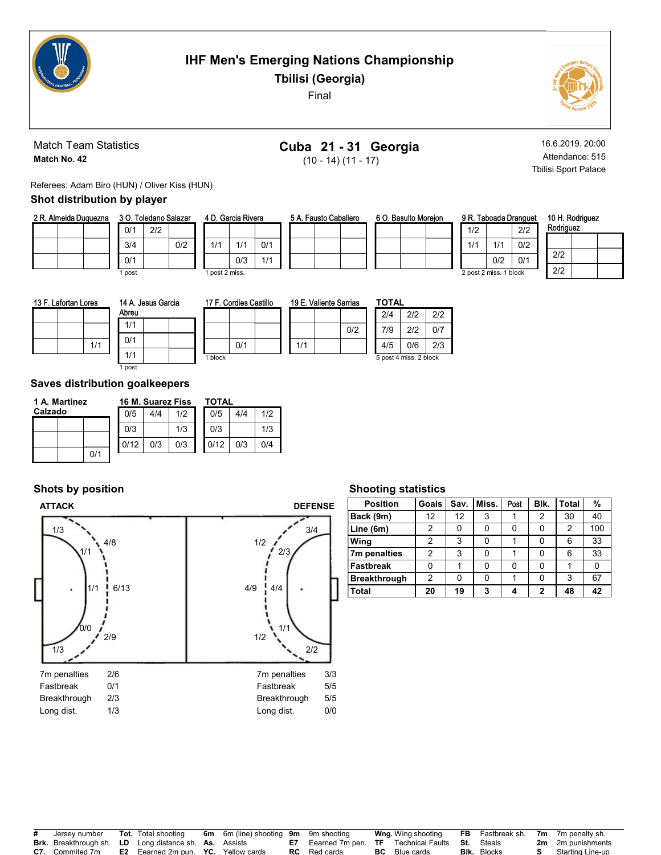

Tbilisi (Georgia)

Final



Match Team Statistics Match No. 42

# Cuba 21 - 31 Georgia

(10 - 14) (11 - 17)

16.6.2019. 20:00 Attendance: 515 Tbilisi Sport Palace

Referees: Adam Biro (HUN) / Oliver Kiss (HUN)

# Shot distribution by player

| 2 R. Almeida Duguezna | 3 O. Toledano Salazar |     |     | 4 D. Garcia Rivera |     |  | 5 A. Fausto Caballero |  |  | 6 O. Basulto Moreion |  |  |  | 9 R. Taboada Dranguet |                        |     |
|-----------------------|-----------------------|-----|-----|--------------------|-----|--|-----------------------|--|--|----------------------|--|--|--|-----------------------|------------------------|-----|
|                       | 0/1                   | 2/2 |     |                    |     |  |                       |  |  |                      |  |  |  | 1/2                   |                        | 2/2 |
|                       | 3/4                   |     | 0/2 | 1/1                | 0/1 |  |                       |  |  |                      |  |  |  |                       |                        | 0/2 |
|                       | 0/1                   |     |     | 0/3                | 111 |  |                       |  |  |                      |  |  |  |                       | 0/2                    | 0'  |
|                       | l post                |     |     | post 2 miss.       |     |  |                       |  |  |                      |  |  |  |                       | 2 post 2 miss. 1 block |     |

|   | ロリン |
|---|-----|
| w | 1 H |

| 10 H. Rodriguez<br>Rodriguez |  |  |  |  |  |  |  |  |  |
|------------------------------|--|--|--|--|--|--|--|--|--|
|                              |  |  |  |  |  |  |  |  |  |
| 2/2                          |  |  |  |  |  |  |  |  |  |
| 212                          |  |  |  |  |  |  |  |  |  |

13 F. Lafortan Lores

1/1 Abreu 1/1 0/1 1/1

| Abreu    | 14 A. Jesus Garcia |  |
|----------|--------------------|--|
| I<br>1/1 |                    |  |

| 17 F. Cordies Castillo |  |     | 19 E. Valiente Sarria |    |
|------------------------|--|-----|-----------------------|----|
|                        |  |     |                       |    |
|                        |  |     |                       | ľ. |
| 0/1                    |  | 1/1 |                       |    |
|                        |  |     |                       |    |

| ımas | TOTAL |                        |     |
|------|-------|------------------------|-----|
|      | 2/4   | 2/2                    | 2/2 |
| 0/2  | 7/9   | 2/2                    | 0/7 |
|      | 4/5   | 0/6                    | 2/3 |
|      |       | 5 post 4 miss. 2 block |     |

# Saves distribution goalkeepers

1 post

| 1 A. Martinez |     |  |      | 16 M. Suarez Fiss |     | <b>TOTAL</b> |     |     |  |  |
|---------------|-----|--|------|-------------------|-----|--------------|-----|-----|--|--|
| Calzado       |     |  | 0/5  | 4/4               | 1/2 | 0/5          | 4/4 | 1/2 |  |  |
|               |     |  | 0/3  |                   | 1/3 | 0/3          |     | 1/3 |  |  |
|               |     |  | 0/12 | 0/3               | 0/3 | 0/12         | 0/3 | 0/4 |  |  |
|               | 0/1 |  |      |                   |     |              |     |     |  |  |

# Shots by position



### Shooting statistics

| <b>Position</b>     | Goals | Sav. | Miss. | Post | Blk. | <b>Total</b> | %   |
|---------------------|-------|------|-------|------|------|--------------|-----|
| Back (9m)           | 12    | 12   | 3     |      | 2    | 30           | 40  |
| Line (6m)           | 2     | 0    | 0     |      |      | 2            | 100 |
| Wing                | 2     | 3    | 0     |      |      | 6            | 33  |
| 7m penalties        | 2     | 3    | 0     |      |      | 6            | 33  |
| <b>Fastbreak</b>    | 0     |      | 0     | ŋ    |      |              | 0   |
| <b>Breakthrough</b> | 2     | 0    | 0     |      |      | 3            | 67  |
| <b>Total</b>        | 20    | 19   | 3     |      | 2    | 48           | 42  |

| # | Jersev number                                                 | <b>Tot.</b> Total shooting                        | <b>6m</b> 6m (line) shooting <b>9m</b> 9m shooting |                                                                        | <b>Wng</b> . Wing shooting |                    | <b>FB</b> Fastbreak sh. <b>7m</b> 7m penalty sh. |
|---|---------------------------------------------------------------|---------------------------------------------------|----------------------------------------------------|------------------------------------------------------------------------|----------------------------|--------------------|--------------------------------------------------|
|   | <b>Brk.</b> Breakthrough sh. LD Long distance sh. As. Assists |                                                   |                                                    | <b>E7</b> Eearned 7m pen. <b>TF</b> Technical Faults <b>St.</b> Steals |                            |                    | <b>2m</b> 2m punishments                         |
|   | <b>C7.</b> Commited 7m                                        | <b>E2</b> Eearned 2m pun. <b>YC.</b> Yellow cards |                                                    | <b>RC</b> Red cards                                                    | <b>BC</b> Blue cards       | <b>BIK.</b> Blocks | Starting Line-up                                 |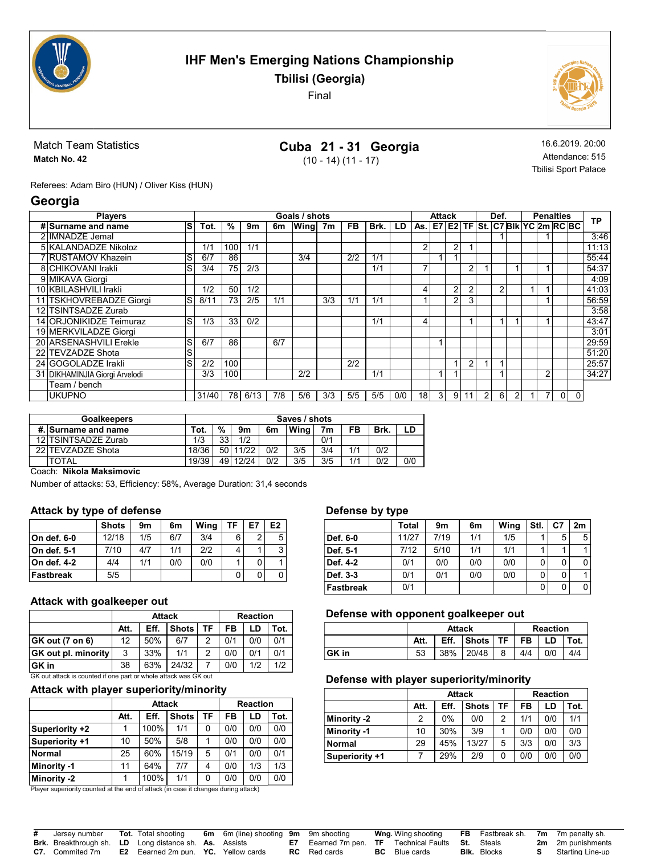

Tbilisi (Georgia)

Final



Match Team Statistics Match No. 42

# Cuba 21 - 31 Georgia

(10 - 14) (11 - 17)

16.6.2019. 20:00 Attendance: 515 Tbilisi Sport Palace

Referees: Adam Biro (HUN) / Oliver Kiss (HUN)

# Georgia

| <b>Players</b>                 |       |     |      |     | Goals / shots |     |           |      |     |                 | <b>Attack</b>  |   |                |                | Def.           |   |                | <b>Penalties</b>                    |              | <b>TP</b> |
|--------------------------------|-------|-----|------|-----|---------------|-----|-----------|------|-----|-----------------|----------------|---|----------------|----------------|----------------|---|----------------|-------------------------------------|--------------|-----------|
| ls<br># Surname and name       | Tot.  | %   | 9m   | 6m  | Wing          | 7m  | <b>FB</b> | Brk. | LD  |                 |                |   |                |                |                |   |                | As. E7 E2 TF St. C7 Blk YC 2m RC BC |              |           |
| 2 IIMNADZE Jemal               |       |     |      |     |               |     |           |      |     |                 |                |   |                |                |                |   |                |                                     |              | 3:46      |
| 5 KALANDADZE Nikoloz           | 1/1   | 100 | 1/1  |     |               |     |           |      |     | $\mathfrak{p}$  |                | 2 |                |                |                |   |                |                                     |              | 11:13     |
| 7 RUSTAMOV Khazein<br>S        | 6/7   | 86  |      |     | 3/4           |     | 2/2       | 1/1  |     |                 |                |   |                |                |                |   |                |                                     |              | 55:44     |
| 8 CHIKOVANI Irakli<br>S        | 3/4   | 75  | 2/3  |     |               |     |           | 1/1  |     |                 |                |   | $\overline{2}$ |                |                |   |                |                                     |              | 54:37     |
| 9 MIKAVA Giorgi                |       |     |      |     |               |     |           |      |     |                 |                |   |                |                |                |   |                |                                     |              | 4:09      |
| 10 KBILASHVILI Irakli          | 1/2   | 50  | 1/2  |     |               |     |           |      |     | 4               |                | 2 | $\overline{2}$ |                | $\overline{2}$ |   |                |                                     |              | 41:03     |
| lS<br>11 TSKHOVREBADZE Giorgi  | 8/11  | 73  | 2/5  | 1/1 |               | 3/3 | 1/1       | 1/1  |     |                 |                | 2 | 3              |                |                |   |                |                                     |              | 56:59     |
| 12 TSINTSADZE Zurab            |       |     |      |     |               |     |           |      |     |                 |                |   |                |                |                |   |                |                                     |              | 3:58      |
| 14 ORJONIKIDZE Teimuraz<br>S   | 1/3   | 33  | 0/2  |     |               |     |           | 1/1  |     | 4               |                |   |                |                |                |   |                |                                     |              | 43:47     |
| 19 MERKVILADZE Giorgi          |       |     |      |     |               |     |           |      |     |                 |                |   |                |                |                |   |                |                                     |              | 3:01      |
| 20 ARSENASHVILI Erekle<br>S    | 6/7   | 86  |      | 6/7 |               |     |           |      |     |                 |                |   |                |                |                |   |                |                                     |              | 29:59     |
| S<br>22 TEVZADZE Shota         |       |     |      |     |               |     |           |      |     |                 |                |   |                |                |                |   |                |                                     |              | 51:20     |
| 24 GOGOLADZE Irakli<br>S       | 2/2   | 100 |      |     |               |     | 2/2       |      |     |                 |                |   | 2              |                |                |   |                |                                     |              | 25:57     |
| 31 DIKHAMINJIA Giorgi Arvelodi | 3/3   | 100 |      |     | 2/2           |     |           | 1/1  |     |                 |                |   |                |                |                |   | $\overline{2}$ |                                     |              | 34:27     |
| Team / bench                   |       |     |      |     |               |     |           |      |     |                 |                |   |                |                |                |   |                |                                     |              |           |
| <b>UKUPNO</b>                  | 31/40 | 78  | 6/13 | 7/8 | 5/6           | 3/3 | 5/5       | 5/5  | 0/0 | 18 <sub>1</sub> | $\overline{3}$ | 9 | 11             | $\overline{2}$ | 6              | 2 | 7              | $\overline{0}$                      | $\mathbf{0}$ |           |

|     | <b>Goalkeepers</b>    | Saves / shots |          |       |     |      |     |     |      |     |
|-----|-----------------------|---------------|----------|-------|-----|------|-----|-----|------|-----|
|     | #. Surname and name   | Tot.          | %        | 9m    | 6m  | Wina | 7m  | FB  | Brk. |     |
|     | 12 TSINTSADZE Zurab   | 1/3           | วว<br>ບບ | 1/2   |     |      | 0/1 |     |      |     |
| 221 | <b>TEVZADZE Shota</b> | 18/36         | 50 I     | 11/22 | 0/2 | 3/5  | 3/4 |     | 0/2  |     |
|     | <b>TOTAL</b>          | 19/39         | 49 l     | 12/24 | 0/2 | 3/5  | 3/5 | 1/1 | 0/2  | 0/0 |

Coach: Nikola Maksimovic

Number of attacks: 53, Efficiency: 58%, Average Duration: 31,4 seconds

# Attack by type of defense

|              | <b>Shots</b> | 9m  | 6m  | Wing | TF | E7 | E <sub>2</sub> |
|--------------|--------------|-----|-----|------|----|----|----------------|
| ∣On def. 6-0 | 12/18        | 1/5 | 6/7 | 3/4  | 6  | 2  | 5              |
| On def. 5-1  | 7/10         | 4/7 | 1/1 | 212  | 4  |    | 3              |
| On def. 4-2  | 4/4          | 1/1 | 0/0 | 0/0  |    | 0  |                |
| Fastbreak    | 5/5          |     |     |      | 0  | 0  |                |

### Attack with goalkeeper out

|                                                                 |      | <b>Attack</b> |              |    | <b>Reaction</b> |      |     |  |  |  |
|-----------------------------------------------------------------|------|---------------|--------------|----|-----------------|------|-----|--|--|--|
|                                                                 | Att. | Eff.          | <b>Shots</b> | FB | LD              | Tot. |     |  |  |  |
| <b>GK out (7 on 6)</b>                                          | 12   | 50%           | 6/7          | 2  | 0/1             | 0/0  | 0/1 |  |  |  |
| <b>GK</b> out pl. minority                                      | 3    | 33%           | 1/1          | 2  | 0/0             | 0/1  | 0/1 |  |  |  |
| <b>GK</b> in                                                    | 38   | 63%           | 24/32        |    | 0/0             | 1/2  | 1/2 |  |  |  |
| GK out attack is counted if one part or whole attack was GK out |      |               |              |    |                 |      |     |  |  |  |

### Attack with player superiority/minority

|                    |      | <b>Attack</b> |              | <b>Reaction</b> |           |     |      |  |
|--------------------|------|---------------|--------------|-----------------|-----------|-----|------|--|
|                    | Att. | Eff.          | <b>Shots</b> | TF              | <b>FB</b> | LD  | Tot. |  |
| Superiority +2     |      | 100%          | 1/1          | 0               | 0/0       | 0/0 | 0/0  |  |
| Superiority +1     | 10   | 50%           | 5/8          |                 | 0/0       | 0/0 | 0/0  |  |
| <b>Normal</b>      | 25   | 60%           | 15/19        | 5               | 0/1       | 0/0 | 0/1  |  |
| <b>Minority -1</b> | 11   | 64%           | 7/7          | 4               | 0/0       | 1/3 | 1/3  |  |
| Minority -2        |      | 100%          | 1/1          | 0               | 0/0       | 0/0 | 0/0  |  |

Player superiority counted at the end of attack (in case it changes during attack)

# Defense by type

|                  | Total | 9m   | 6m  | Wing | Stl. | C7 | 2m |
|------------------|-------|------|-----|------|------|----|----|
| Def. 6-0         | 11/27 | 7/19 | 1/1 | 1/5  |      | 5  | 5  |
| Def. 5-1         | 7/12  | 5/10 | 1/1 | 1/1  |      |    |    |
| Def. 4-2         | 0/1   | 0/0  | 0/0 | 0/0  | 0    | 0  | 0  |
| Def. 3-3         | 0/1   | 0/1  | 0/0 | 0/0  | 0    | 0  |    |
| <b>Fastbreak</b> | 0/1   |      |     |      | 0    | 0  | 0  |

### Defense with opponent goalkeeper out

|        |      | <b>Attack</b> | <b>Reaction</b>      |   |     |     |      |
|--------|------|---------------|----------------------|---|-----|-----|------|
|        | Att. |               | $Eff.$ Shots $TF$ FB |   |     | LD  | Tot. |
| ∣GK in | 53   |               | 38% 20/48            | 8 | 4/4 | 0/0 | 4/4  |

## Defense with player superiority/minority

|                |      | <b>Attack</b> |              |    | <b>Reaction</b> |     |      |  |  |
|----------------|------|---------------|--------------|----|-----------------|-----|------|--|--|
|                | Att. | Eff.          | <b>Shots</b> | TF | FB              | LD  | Tot. |  |  |
| Minority -2    | 2    | $0\%$         | 0/0          | 2  | 1/1             | 0/0 | 1/1  |  |  |
| Minority -1    | 10   | 30%           | 3/9          |    | 0/0             | 0/0 | 0/0  |  |  |
| Normal         | 29   | 45%           | 13/27        | 5  | 3/3             | 0/0 | 3/3  |  |  |
| Superiority +1 |      | 29%           | 2/9          |    | 0/0             | 0/0 | 0/0  |  |  |

| Jersey number                                                               | <b>Tot.</b> Total shooting                        | <b>6m</b> 6m (line) shooting 9m 9m shooting |                                                |    | <b>Wng</b> Wing shooting |                    | <b>FB</b> Fastbreak sh. 7m 7m penalty sh. |
|-----------------------------------------------------------------------------|---------------------------------------------------|---------------------------------------------|------------------------------------------------|----|--------------------------|--------------------|-------------------------------------------|
| <b>Brk.</b> Breakthrough sh. <b>LD</b> Long distance sh. <b>As.</b> Assists |                                                   |                                             | Eearned 7m pen. TF Technical Faults St. Steals |    |                          |                    | <b>2m</b> 2m punishments                  |
| <b>C7.</b> Commited 7m                                                      | <b>E2</b> Eearned 2m pun. <b>YC.</b> Yellow cards |                                             | <b>RC</b> Red cards                            | ВC | Blue cards               | <b>BIK.</b> Blocks | Starting Line-up                          |